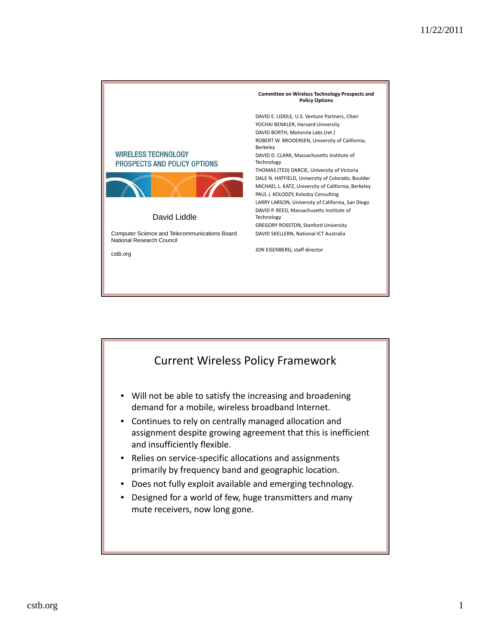

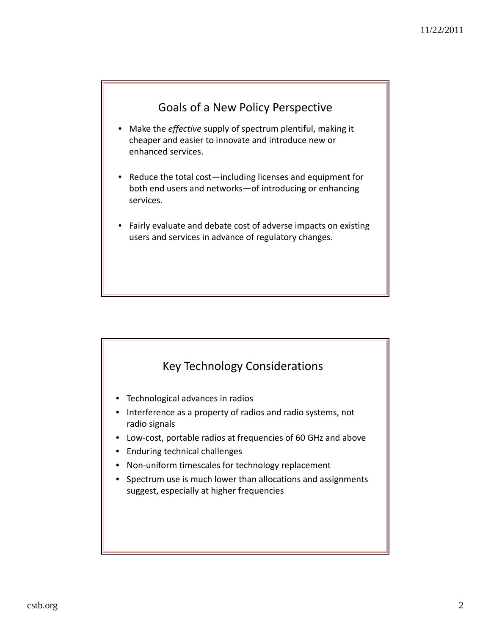### Goals of a New Policy Perspective

- Make the *effective* supply of spectrum plentiful, making it cheaper and easier to innovate and introduce new or enhanced services.
- Reduce the total cost—including licenses and equipment for both end users and networks—of introducing or enhancing services.
- Fairly evaluate and debate cost of adverse impacts on existing users and services in advance of regulatory changes.

### Key Technology Considerations

- Technological advances in radios
- Interference as a property of radios and radio systems, not radio signals
- Low‐cost, portable radios at frequencies of 60 GHz and above
- Enduring technical challenges
- Non-uniform timescales for technology replacement
- Spectrum use is much lower than allocations and assignments suggest, especially at higher frequencies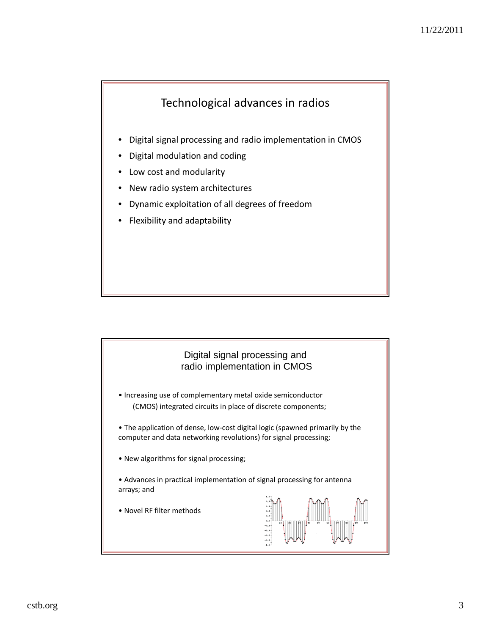### Technological advances in radios

- Digital signal processing and radio implementation in CMOS
- Digital modulation and coding
- Low cost and modularity
- New radio system architectures
- Dynamic exploitation of all degrees of freedom
- Flexibility and adaptability

# Digital signal processing and radio implementation in CMOS • Increasing use of complementary metal oxide semiconductor (CMOS) integrated circuits in place of discrete components; • The application of dense, low‐cost digital logic (spawned primarily by the computer and data networking revolutions) for signal processing; • New algorithms for signal processing; • Advances in practical implementation of signal processing for antenna arrays; and • Novel RF filter methods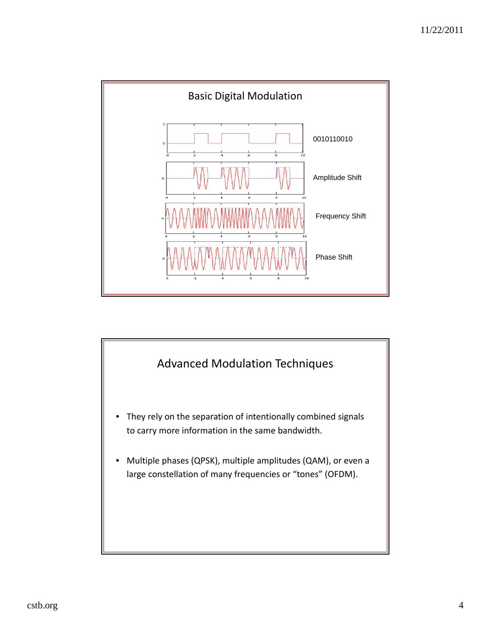

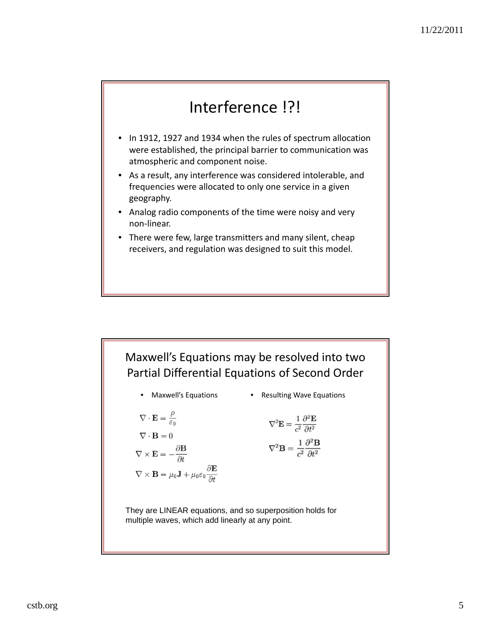# Interference !?!

- In 1912, 1927 and 1934 when the rules of spectrum allocation were established, the principal barrier to communication was atmospheric and component noise.
- As a result, any interference was considered intolerable, and frequencies were allocated to only one service in a given geography.
- Analog radio components of the time were noisy and very non‐linear.
- There were few, large transmitters and many silent, cheap receivers, and regulation was designed to suit this model.

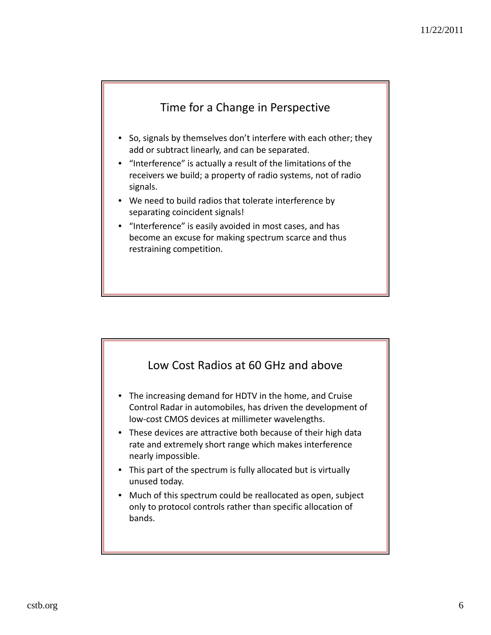### Time for a Change in Perspective

- So, signals by themselves don't interfere with each other; they add or subtract linearly, and can be separated.
- "Interference" is actually a result of the limitations of the receivers we build; a property of radio systems, not of radio signals.
- We need to build radios that tolerate interference by separating coincident signals!
- "Interference" is easily avoided in most cases, and has become an excuse for making spectrum scarce and thus restraining competition.



- The increasing demand for HDTV in the home, and Cruise Control Radar in automobiles, has driven the development of low‐cost CMOS devices at millimeter wavelengths.
- These devices are attractive both because of their high data rate and extremely short range which makes interference nearly impossible.
- This part of the spectrum is fully allocated but is virtually unused today.
- Much of this spectrum could be reallocated as open, subject only to protocol controls rather than specific allocation of bands.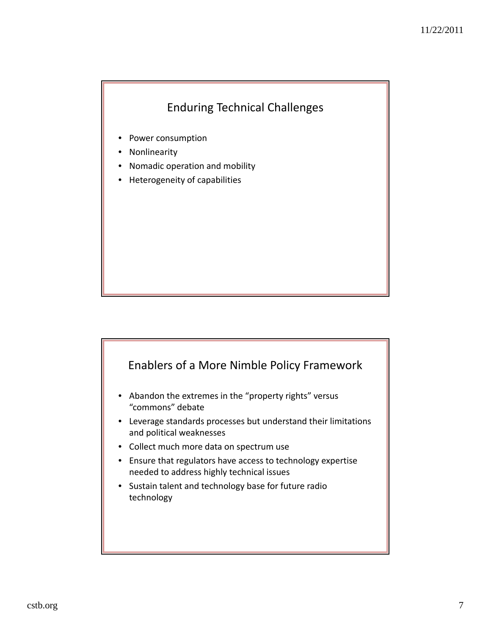## Enduring Technical Challenges

- Power consumption
- Nonlinearity
- Nomadic operation and mobility
- Heterogeneity of capabilities

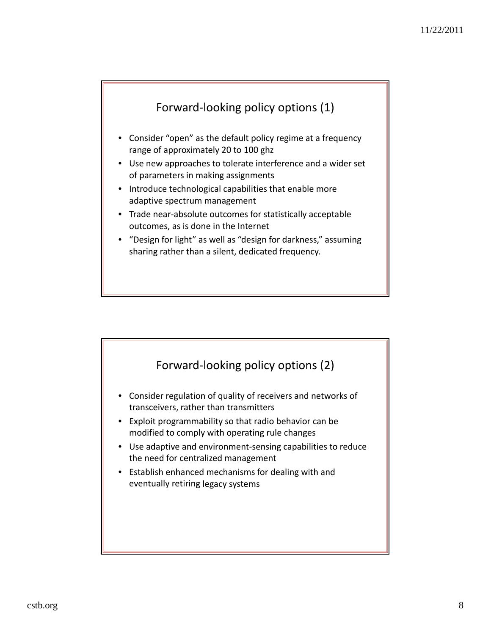### Forward‐looking policy options (1)

- Consider "open" as the default policy regime at a frequency range of approximately 20 to 100 ghz
- Use new approaches to tolerate interference and a wider set of parameters in making assignments
- Introduce technological capabilities that enable more adaptive spectrum management
- Trade near‐absolute outcomes for statistically acceptable outcomes, as is done in the Internet
- "Design for light" as well as "design for darkness," assuming sharing rather than a silent, dedicated frequency.